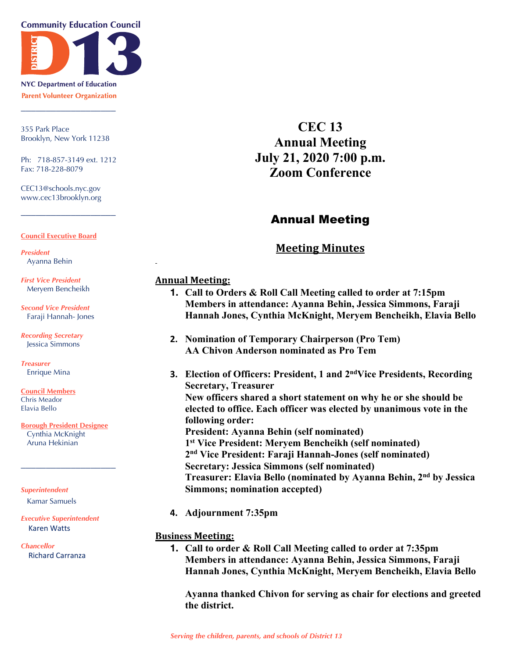**Community Education Council** 



**NYC Department of Education Parent Volunteer Organization** \_\_\_\_\_\_\_\_\_\_\_\_\_\_\_\_\_\_\_

355 Park Place Brooklyn, New York 11238

Ph: 718-857-3149 ext. 1212 Fax: 718-228-8079

\_\_\_\_\_\_\_\_\_\_\_\_\_\_\_\_\_\_\_

CEC13@schools.nyc.gov www.cec13brooklyn.org

#### **Council Executive Board**

*President* Ayanna Behin

*First Vice President* Meryem Bencheikh

*Second Vice President* Faraji Hannah- Jones

*Recording Secretary* Jessica Simmons

*Treasurer* Enrique Mina

**Council Members** Chris Meador Elavia Bello

**Borough President Designee** Cynthia McKnight Aruna Hekinian

\_\_\_\_\_\_\_\_\_\_\_\_\_\_\_\_\_\_\_

*Superintendent* Kamar Samuels

*Executive Superintendent* Karen Watts

*Chancellor* Richard Carranza

**CEC 13 Annual Meeting July 21, 2020 7:00 p.m. Zoom Conference**

# Annual Meeting

## **Meeting Minutes**

### **Annual Meeting:**

- **1. Call to Orders & Roll Call Meeting called to order at 7:15pm Members in attendance: Ayanna Behin, Jessica Simmons, Faraji Hannah Jones, Cynthia McKnight, Meryem Bencheikh, Elavia Bello**
- **2. Nomination of Temporary Chairperson (Pro Tem) AA Chivon Anderson nominated as Pro Tem**
- **3. Election of Officers: President, 1 and 2ndVice Presidents, Recording Secretary, Treasurer New officers shared a short statement on why he or she should be elected to office. Each officer was elected by unanimous vote in the following order: President: Ayanna Behin (self nominated) 1st Vice President: Meryem Bencheikh (self nominated) 2nd Vice President: Faraji Hannah-Jones (self nominated) Secretary: Jessica Simmons (self nominated) Treasurer: Elavia Bello (nominated by Ayanna Behin, 2nd by Jessica Simmons; nomination accepted)**
- **4. Adjournment 7:35pm**

### **Business Meeting:**

**1. Call to order & Roll Call Meeting called to order at 7:35pm Members in attendance: Ayanna Behin, Jessica Simmons, Faraji Hannah Jones, Cynthia McKnight, Meryem Bencheikh, Elavia Bello**

**Ayanna thanked Chivon for serving as chair for elections and greeted the district.**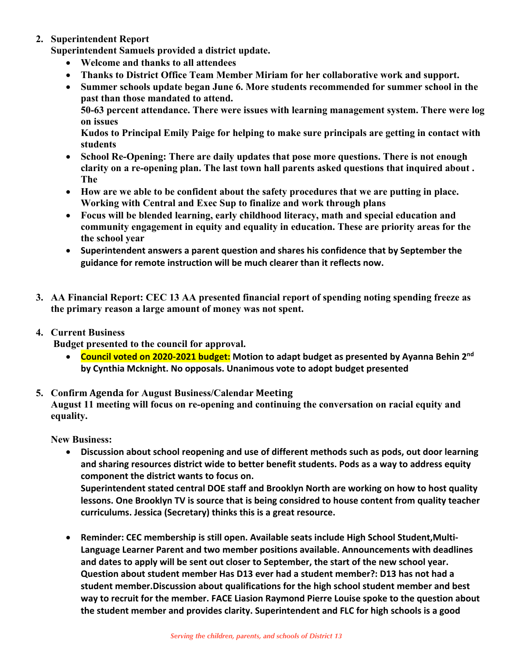### **2. Superintendent Report**

**Superintendent Samuels provided a district update.**

- **Welcome and thanks to all attendees**
- **Thanks to District Office Team Member Miriam for her collaborative work and support.**
- **Summer schools update began June 6. More students recommended for summer school in the past than those mandated to attend.**

**50-63 percent attendance. There were issues with learning management system. There were log on issues**

**Kudos to Principal Emily Paige for helping to make sure principals are getting in contact with students**

- **School Re-Opening: There are daily updates that pose more questions. There is not enough clarity on a re-opening plan. The last town hall parents asked questions that inquired about . The**
- **How are we able to be confident about the safety procedures that we are putting in place. Working with Central and Exec Sup to finalize and work through plans**
- **Focus will be blended learning, early childhood literacy, math and special education and community engagement in equity and equality in education. These are priority areas for the the school year**
- **Superintendent answers a parent question and shares his confidence that by September the guidance for remote instruction will be much clearer than it reflects now.**
- **3. AA Financial Report: CEC 13 AA presented financial report of spending noting spending freeze as the primary reason a large amount of money was not spent.**
- **4. Current Business**

**Budget presented to the council for approval.**

• **Council voted on 2020-2021 budget: Motion to adapt budget as presented by Ayanna Behin 2nd by Cynthia Mcknight. No opposals. Unanimous vote to adopt budget presented**

### **5. Confirm Agenda for August Business/Calendar Meeting August 11 meeting will focus on re-opening and continuing the conversation on racial equity and equality.**

**New Business:**

- **Discussion about school reopening and use of different methods such as pods, out door learning and sharing resources district wide to better benefit students. Pods as a way to address equity component the district wants to focus on. Superintendent stated central DOE staff and Brooklyn North are working on how to host quality lessons. One Brooklyn TV is source that is being considred to house content from quality teacher curriculums. Jessica (Secretary) thinks this is a great resource.**
- **Reminder: CEC membership is still open. Available seats include High School Student,Multi-Language Learner Parent and two member positions available. Announcements with deadlines and dates to apply will be sent out closer to September, the start of the new school year. Question about student member Has D13 ever had a student member?: D13 has not had a student member.Discussion about qualifications for the high school student member and best way to recruit for the member. FACE Liasion Raymond Pierre Louise spoke to the question about the student member and provides clarity. Superintendent and FLC for high schools is a good**